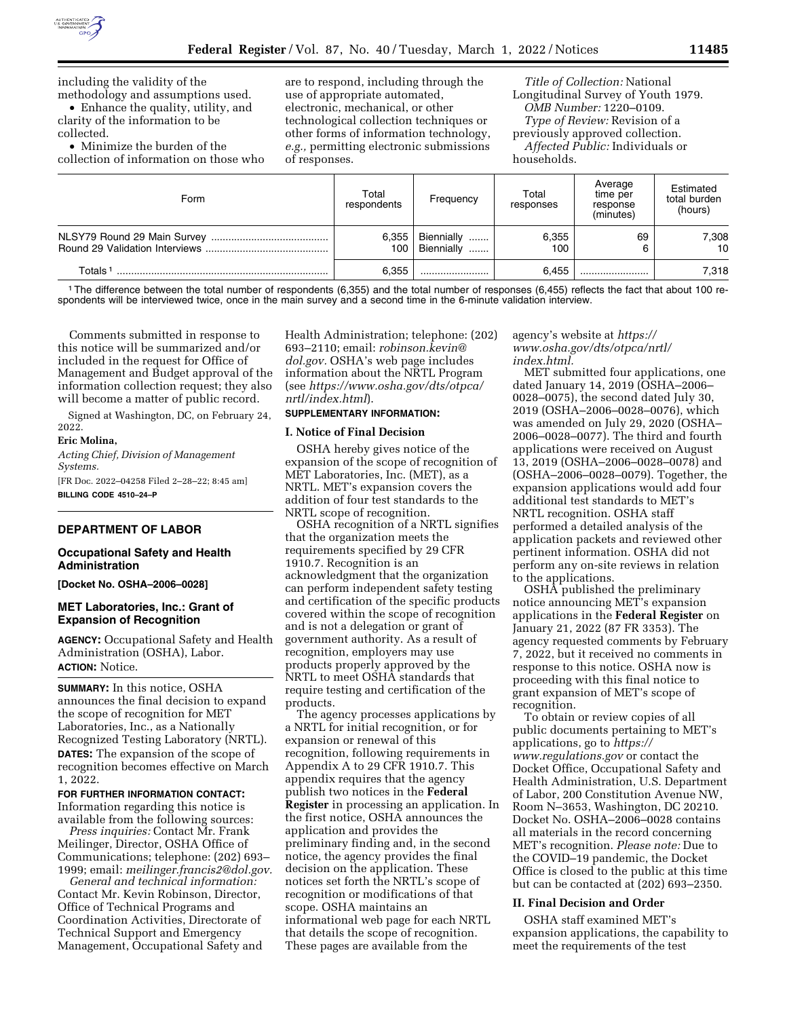

including the validity of the methodology and assumptions used.

• Enhance the quality, utility, and clarity of the information to be collected.

• Minimize the burden of the collection of information on those who are to respond, including through the use of appropriate automated, electronic, mechanical, or other technological collection techniques or other forms of information technology, *e.g.,* permitting electronic submissions of responses.

*Title of Collection:* National Longitudinal Survey of Youth 1979. *OMB Number:* 1220–0109. *Type of Review:* Revision of a previously approved collection. *Affected Public:* Individuals or households.

| Form                | Total<br>respondents | Frequency                        | Total<br>responses | Average<br>time per<br>response<br>(minutes) | Estimated<br>total burden<br>(hours) |
|---------------------|----------------------|----------------------------------|--------------------|----------------------------------------------|--------------------------------------|
|                     | 6.355<br>100         | Biennially<br><br>Biennially<br> | 6.355<br>100       | 69                                           | 7,308<br>10                          |
| Totals <sup>-</sup> | 6.355                |                                  | 6.455              |                                              | 7.318                                |

1The difference between the total number of respondents (6,355) and the total number of responses (6,455) reflects the fact that about 100 respondents will be interviewed twice, once in the main survey and a second time in the 6-minute validation interview.

Comments submitted in response to this notice will be summarized and/or included in the request for Office of Management and Budget approval of the information collection request; they also will become a matter of public record.

Signed at Washington, DC, on February 24, 2022.

#### **Eric Molina,**

*Acting Chief, Division of Management Systems.* 

[FR Doc. 2022–04258 Filed 2–28–22; 8:45 am] **BILLING CODE 4510–24–P** 

## **DEPARTMENT OF LABOR**

### **Occupational Safety and Health Administration**

**[Docket No. OSHA–2006–0028]** 

## **MET Laboratories, Inc.: Grant of Expansion of Recognition**

**AGENCY:** Occupational Safety and Health Administration (OSHA), Labor. **ACTION:** Notice.

**SUMMARY:** In this notice, OSHA announces the final decision to expand the scope of recognition for MET Laboratories, Inc., as a Nationally Recognized Testing Laboratory (NRTL). **DATES:** The expansion of the scope of recognition becomes effective on March 1, 2022.

## **FOR FURTHER INFORMATION CONTACT:**  Information regarding this notice is available from the following sources:

*Press inquiries:* Contact Mr. Frank Meilinger, Director, OSHA Office of Communications; telephone: (202) 693– 1999; email: *[meilinger.francis2@dol.gov.](mailto:meilinger.francis2@dol.gov)* 

*General and technical information:*  Contact Mr. Kevin Robinson, Director, Office of Technical Programs and Coordination Activities, Directorate of Technical Support and Emergency Management, Occupational Safety and Health Administration; telephone: (202) 693–2110; email: *[robinson.kevin@](mailto:robinson.kevin@dol.gov) [dol.gov.](mailto:robinson.kevin@dol.gov)* OSHA's web page includes information about the NRTL Program (see *[https://www.osha.gov/dts/otpca/](https://www.osha.gov/dts/otpca/nrtl/index.html) [nrtl/index.html](https://www.osha.gov/dts/otpca/nrtl/index.html)*).

# **SUPPLEMENTARY INFORMATION:**

# **I. Notice of Final Decision**

OSHA hereby gives notice of the expansion of the scope of recognition of MET Laboratories, Inc. (MET), as a NRTL. MET's expansion covers the addition of four test standards to the NRTL scope of recognition.

OSHA recognition of a NRTL signifies that the organization meets the requirements specified by 29 CFR 1910.7. Recognition is an acknowledgment that the organization can perform independent safety testing and certification of the specific products covered within the scope of recognition and is not a delegation or grant of government authority. As a result of recognition, employers may use products properly approved by the NRTL to meet OSHA standards that require testing and certification of the products.

The agency processes applications by a NRTL for initial recognition, or for expansion or renewal of this recognition, following requirements in Appendix A to 29 CFR 1910.7. This appendix requires that the agency publish two notices in the **Federal Register** in processing an application. In the first notice, OSHA announces the application and provides the preliminary finding and, in the second notice, the agency provides the final decision on the application. These notices set forth the NRTL's scope of recognition or modifications of that scope. OSHA maintains an informational web page for each NRTL that details the scope of recognition. These pages are available from the

#### agency's website at *[https://](https://www.osha.gov/dts/otpca/nrtl/index.html) [www.osha.gov/dts/otpca/nrtl/](https://www.osha.gov/dts/otpca/nrtl/index.html)  [index.html.](https://www.osha.gov/dts/otpca/nrtl/index.html)*

MET submitted four applications, one dated January 14, 2019 (OSHA–2006– 0028–0075), the second dated July 30, 2019 (OSHA–2006–0028–0076), which was amended on July 29, 2020 (OSHA– 2006–0028–0077). The third and fourth applications were received on August 13, 2019 (OSHA–2006–0028–0078) and (OSHA–2006–0028–0079). Together, the expansion applications would add four additional test standards to MET's NRTL recognition. OSHA staff performed a detailed analysis of the application packets and reviewed other pertinent information. OSHA did not perform any on-site reviews in relation to the applications.

OSHA published the preliminary notice announcing MET's expansion applications in the **Federal Register** on January 21, 2022 (87 FR 3353). The agency requested comments by February 7, 2022, but it received no comments in response to this notice. OSHA now is proceeding with this final notice to grant expansion of MET's scope of recognition.

To obtain or review copies of all public documents pertaining to MET's applications, go to *[https://](https://www.regulations.gov) [www.regulations.gov](https://www.regulations.gov)* or contact the Docket Office, Occupational Safety and Health Administration, U.S. Department of Labor, 200 Constitution Avenue NW, Room N–3653, Washington, DC 20210. Docket No. OSHA–2006–0028 contains all materials in the record concerning MET's recognition. *Please note:* Due to the COVID–19 pandemic, the Docket Office is closed to the public at this time but can be contacted at (202) 693–2350.

# **II. Final Decision and Order**

OSHA staff examined MET's expansion applications, the capability to meet the requirements of the test